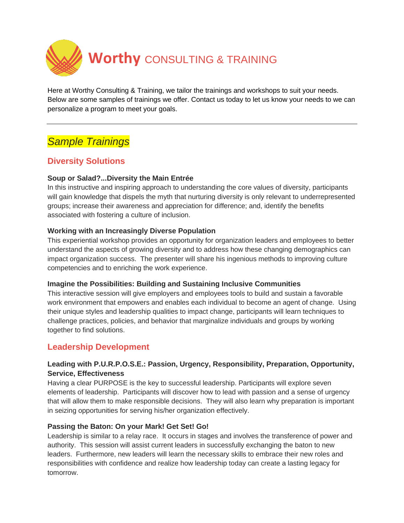

Here at Worthy Consulting & Training, we tailor the trainings and workshops to suit your needs. Below are some samples of trainings we offer. Contact us today to let us know your needs to we can personalize a program to meet your goals.

# *Sample Trainings*

# **Diversity Solutions**

### **Soup or Salad?...Diversity the Main Entrée**

In this instructive and inspiring approach to understanding the core values of diversity, participants will gain knowledge that dispels the myth that nurturing diversity is only relevant to underrepresented groups; increase their awareness and appreciation for difference; and, identify the benefits associated with fostering a culture of inclusion.

### **Working with an Increasingly Diverse Population**

This experiential workshop provides an opportunity for organization leaders and employees to better understand the aspects of growing diversity and to address how these changing demographics can impact organization success. The presenter will share his ingenious methods to improving culture competencies and to enriching the work experience.

#### **Imagine the Possibilities: Building and Sustaining Inclusive Communities**

This interactive session will give employers and employees tools to build and sustain a favorable work environment that empowers and enables each individual to become an agent of change. Using their unique styles and leadership qualities to impact change, participants will learn techniques to challenge practices, policies, and behavior that marginalize individuals and groups by working together to find solutions.

## **Leadership Development**

### **Leading with P.U.R.P.O.S.E.: Passion, Urgency, Responsibility, Preparation, Opportunity, Service, Effectiveness**

Having a clear PURPOSE is the key to successful leadership. Participants will explore seven elements of leadership. Participants will discover how to lead with passion and a sense of urgency that will allow them to make responsible decisions. They will also learn why preparation is important in seizing opportunities for serving his/her organization effectively.

#### **Passing the Baton: On your Mark! Get Set! Go!**

Leadership is similar to a relay race. It occurs in stages and involves the transference of power and authority. This session will assist current leaders in successfully exchanging the baton to new leaders. Furthermore, new leaders will learn the necessary skills to embrace their new roles and responsibilities with confidence and realize how leadership today can create a lasting legacy for tomorrow.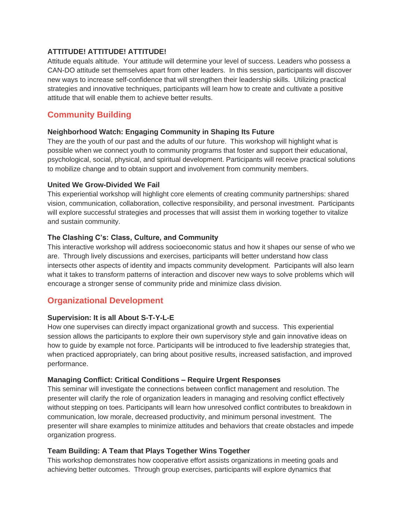#### **ATTITUDE! ATTITUDE! ATTITUDE!**

Attitude equals altitude. Your attitude will determine your level of success. Leaders who possess a CAN-DO attitude set themselves apart from other leaders. In this session, participants will discover new ways to increase self-confidence that will strengthen their leadership skills. Utilizing practical strategies and innovative techniques, participants will learn how to create and cultivate a positive attitude that will enable them to achieve better results.

# **Community Building**

#### **Neighborhood Watch: Engaging Community in Shaping Its Future**

They are the youth of our past and the adults of our future. This workshop will highlight what is possible when we connect youth to community programs that foster and support their educational, psychological, social, physical, and spiritual development. Participants will receive practical solutions to mobilize change and to obtain support and involvement from community members.

#### **United We Grow-Divided We Fail**

This experiential workshop will highlight core elements of creating community partnerships: shared vision, communication, collaboration, collective responsibility, and personal investment. Participants will explore successful strategies and processes that will assist them in working together to vitalize and sustain community.

#### **The Clashing C's: Class, Culture, and Community**

This interactive workshop will address socioeconomic status and how it shapes our sense of who we are. Through lively discussions and exercises, participants will better understand how class intersects other aspects of identity and impacts community development. Participants will also learn what it takes to transform patterns of interaction and discover new ways to solve problems which will encourage a stronger sense of community pride and minimize class division.

# **Organizational Development**

### **Supervision: It is all About S-T-Y-L-E**

How one supervises can directly impact organizational growth and success. This experiential session allows the participants to explore their own supervisory style and gain innovative ideas on how to guide by example not force. Participants will be introduced to five leadership strategies that, when practiced appropriately, can bring about positive results, increased satisfaction, and improved performance.

#### **Managing Conflict: Critical Conditions – Require Urgent Responses**

This seminar will investigate the connections between conflict management and resolution. The presenter will clarify the role of organization leaders in managing and resolving conflict effectively without stepping on toes. Participants will learn how unresolved conflict contributes to breakdown in communication, low morale, decreased productivity, and minimum personal investment. The presenter will share examples to minimize attitudes and behaviors that create obstacles and impede organization progress.

### **Team Building: A Team that Plays Together Wins Together**

This workshop demonstrates how cooperative effort assists organizations in meeting goals and achieving better outcomes. Through group exercises, participants will explore dynamics that